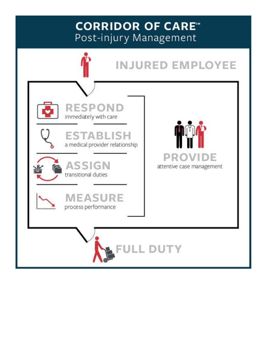## **CORRIDOR OF CARE\*** Post-injury Management